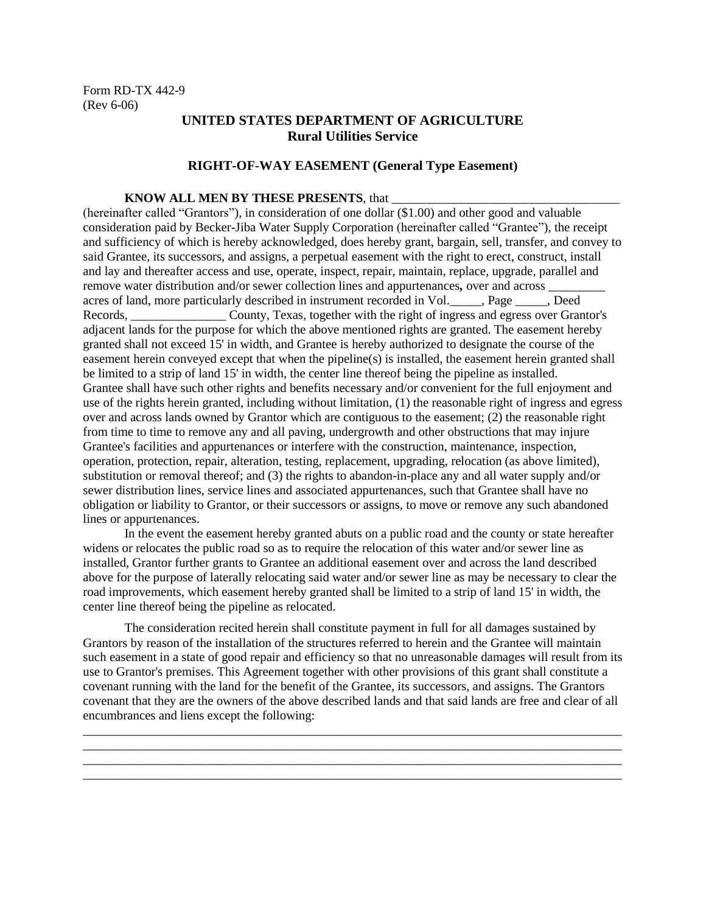## **UNITED STATES DEPARTMENT OF AGRICULTURE Rural Utilities Service**

## **RIGHT-OF-WAY EASEMENT (General Type Easement)**

## **KNOW ALL MEN BY THESE PRESENTS, that**

(hereinafter called "Grantors"), in consideration of one dollar (\$1.00) and other good and valuable consideration paid by Becker-Jiba Water Supply Corporation (hereinafter called "Grantee"), the receipt and sufficiency of which is hereby acknowledged, does hereby grant, bargain, sell, transfer, and convey to said Grantee, its successors, and assigns, a perpetual easement with the right to erect, construct, install and lay and thereafter access and use, operate, inspect, repair, maintain, replace, upgrade, parallel and remove water distribution and/or sewer collection lines and appurtenances*,* over and across \_\_\_\_\_\_\_\_\_ acres of land, more particularly described in instrument recorded in Vol.\_\_\_\_\_, Page \_\_\_\_\_, Deed Records, County, Texas, together with the right of ingress and egress over Grantor's adjacent lands for the purpose for which the above mentioned rights are granted. The easement hereby granted shall not exceed 15' in width, and Grantee is hereby authorized to designate the course of the easement herein conveyed except that when the pipeline(s) is installed, the easement herein granted shall be limited to a strip of land 15' in width, the center line thereof being the pipeline as installed. Grantee shall have such other rights and benefits necessary and/or convenient for the full enjoyment and use of the rights herein granted, including without limitation, (1) the reasonable right of ingress and egress over and across lands owned by Grantor which are contiguous to the easement; (2) the reasonable right from time to time to remove any and all paving, undergrowth and other obstructions that may injure Grantee's facilities and appurtenances or interfere with the construction, maintenance, inspection, operation, protection, repair, alteration, testing, replacement, upgrading, relocation (as above limited), substitution or removal thereof; and (3) the rights to abandon-in-place any and all water supply and/or sewer distribution lines, service lines and associated appurtenances, such that Grantee shall have no obligation or liability to Grantor, or their successors or assigns, to move or remove any such abandoned lines or appurtenances.

In the event the easement hereby granted abuts on a public road and the county or state hereafter widens or relocates the public road so as to require the relocation of this water and/or sewer line as installed, Grantor further grants to Grantee an additional easement over and across the land described above for the purpose of laterally relocating said water and/or sewer line as may be necessary to clear the road improvements, which easement hereby granted shall be limited to a strip of land 15' in width, the center line thereof being the pipeline as relocated.

The consideration recited herein shall constitute payment in full for all damages sustained by Grantors by reason of the installation of the structures referred to herein and the Grantee will maintain such easement in a state of good repair and efficiency so that no unreasonable damages will result from its use to Grantor's premises. This Agreement together with other provisions of this grant shall constitute a covenant running with the land for the benefit of the Grantee, its successors, and assigns. The Grantors covenant that they are the owners of the above described lands and that said lands are free and clear of all encumbrances and liens except the following:

\_\_\_\_\_\_\_\_\_\_\_\_\_\_\_\_\_\_\_\_\_\_\_\_\_\_\_\_\_\_\_\_\_\_\_\_\_\_\_\_\_\_\_\_\_\_\_\_\_\_\_\_\_\_\_\_\_\_\_\_\_\_\_\_\_\_\_\_\_\_\_\_\_\_\_\_\_\_\_\_\_\_\_\_\_ \_\_\_\_\_\_\_\_\_\_\_\_\_\_\_\_\_\_\_\_\_\_\_\_\_\_\_\_\_\_\_\_\_\_\_\_\_\_\_\_\_\_\_\_\_\_\_\_\_\_\_\_\_\_\_\_\_\_\_\_\_\_\_\_\_\_\_\_\_\_\_\_\_\_\_\_\_\_\_\_\_\_\_\_\_ \_\_\_\_\_\_\_\_\_\_\_\_\_\_\_\_\_\_\_\_\_\_\_\_\_\_\_\_\_\_\_\_\_\_\_\_\_\_\_\_\_\_\_\_\_\_\_\_\_\_\_\_\_\_\_\_\_\_\_\_\_\_\_\_\_\_\_\_\_\_\_\_\_\_\_\_\_\_\_\_\_\_\_\_\_ \_\_\_\_\_\_\_\_\_\_\_\_\_\_\_\_\_\_\_\_\_\_\_\_\_\_\_\_\_\_\_\_\_\_\_\_\_\_\_\_\_\_\_\_\_\_\_\_\_\_\_\_\_\_\_\_\_\_\_\_\_\_\_\_\_\_\_\_\_\_\_\_\_\_\_\_\_\_\_\_\_\_\_\_\_